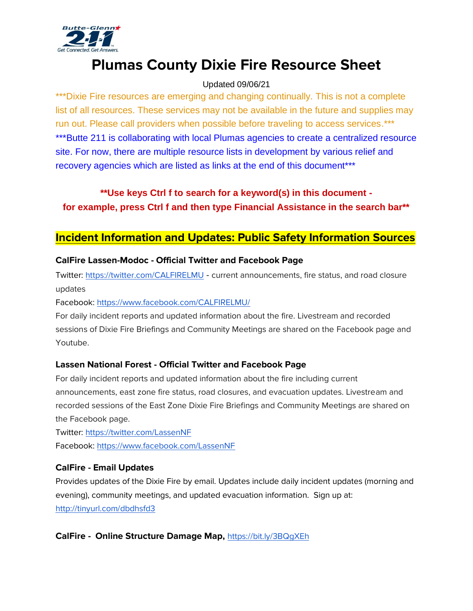

# **Plumas County Dixie Fire Resource Sheet**

## Updated 09/06/21

\*\*\*Dixie Fire resources are emerging and changing continually. This is not a complete list of all resources. These services may not be available in the future and supplies may run out. Please call providers when possible before traveling to access services.\*\*\* \*\*\*Butte 211 is collaborating with local Plumas agencies to create a centralized resource site. For now, there are multiple resource lists in development by various relief and recovery agencies which are listed as links at the end of this document\*\*\*

## **\*\*Use keys Ctrl f to search for a keyword(s) in this document for example, press Ctrl f and then type Financial Assistance in the search bar\*\***

## **Incident Information and Updates: Public Safety Information Sources**

## **CalFire Lassen-Modoc - Official Twitter and Facebook Page**

Twitter:<https://twitter.com/CALFIRELMU> - current announcements, fire status, and road closure updates

Facebook:<https://www.facebook.com/CALFIRELMU/>

For daily incident reports and updated information about the fire. Livestream and recorded sessions of Dixie Fire Briefings and Community Meetings are shared on the Facebook page and Youtube.

## **Lassen National Forest - Official Twitter and Facebook Page**

For daily incident reports and updated information about the fire including current announcements, east zone fire status, road closures, and evacuation updates. Livestream and recorded sessions of the East Zone Dixie Fire Briefings and Community Meetings are shared on the Facebook page.

Twitter:<https://twitter.com/LassenNF> Facebook:<https://www.facebook.com/LassenNF>

## **CalFire - Email Updates**

Provides updates of the Dixie Fire by email. Updates include daily incident updates (morning and evening), community meetings, and updated evacuation information. Sign up at: <http://tinyurl.com/dbdhsfd3>

## **CalFire - Online Structure Damage Map,** <https://bit.ly/3BQgXEh>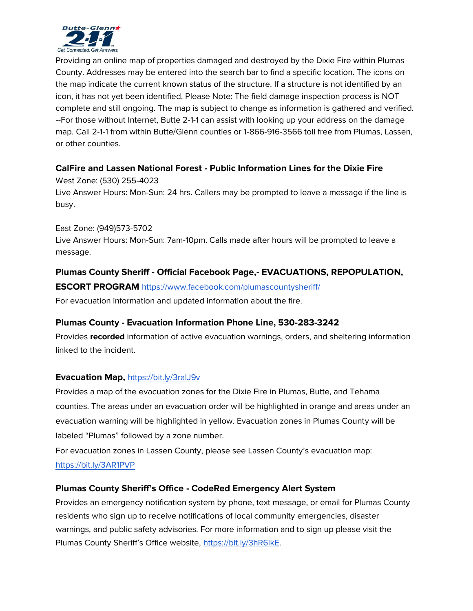

Providing an online map of properties damaged and destroyed by the Dixie Fire within Plumas County. Addresses may be entered into the search bar to find a specific location. The icons on the map indicate the current known status of the structure. If a structure is not identified by an icon, it has not yet been identified. Please Note: The field damage inspection process is NOT complete and still ongoing. The map is subject to change as information is gathered and verified. --For those without Internet, Butte 2-1-1 can assist with looking up your address on the damage map. Call 2-1-1 from within Butte/Glenn counties or 1-866-916-3566 toll free from Plumas, Lassen, or other counties.

## **CalFire and Lassen National Forest - Public Information Lines for the Dixie Fire**

West Zone: (530) 255-4023 Live Answer Hours: Mon-Sun: 24 hrs. Callers may be prompted to leave a message if the line is busy.

#### East Zone: (949)573-5702

Live Answer Hours: Mon-Sun: 7am-10pm. Calls made after hours will be prompted to leave a message.

## **Plumas County Sheriff - Official Facebook Page,- EVACUATIONS, REPOPULATION,**

#### **ESCORT PROGRAM** <https://www.facebook.com/plumascountysheriff/>

For evacuation information and updated information about the fire.

## **Plumas County - Evacuation Information Phone Line, 530-283-3242**

Provides **recorded** information of active evacuation warnings, orders, and sheltering information linked to the incident.

#### **Evacuation Map,** <https://bit.ly/3raIJ9v>

Provides a map of the evacuation zones for the Dixie Fire in Plumas, Butte, and Tehama counties. The areas under an evacuation order will be highlighted in orange and areas under an evacuation warning will be highlighted in yellow. Evacuation zones in Plumas County will be labeled "Plumas" followed by a zone number.

For evacuation zones in Lassen County, please see Lassen County's evacuation map: <https://bit.ly/3AR1PVP>

#### **Plumas County Sheriff's Office - CodeRed Emergency Alert System**

Provides an emergency notification system by phone, text message, or email for Plumas County residents who sign up to receive notifications of local community emergencies, disaster warnings, and public safety advisories. For more information and to sign up please visit the Plumas County Sheriff's Office website, [https://bit.ly/3hR6ikE.](https://bit.ly/3hR6ikE)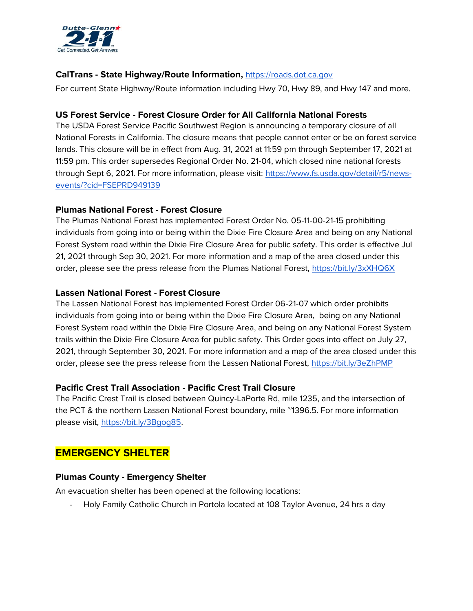

### **CalTrans - State Highway/Route Information,** [https://roads.dot.ca.gov](https://roads.dot.ca.gov/)

For current State Highway/Route information including Hwy 70, Hwy 89, and Hwy 147 and more.

#### **US Forest Service - Forest Closure Order for All California National Forests**

The USDA Forest Service Pacific Southwest Region is announcing a temporary closure of all National Forests in California. The closure means that people cannot enter or be on forest service lands. This closure will be in effect from Aug. 31, 2021 at 11:59 pm through September 17, 2021 at 11:59 pm. This order supersedes Regional Order No. 21-04, which closed nine national forests through Sept 6, 2021. For more information, please visit: [https://www.fs.usda.gov/detail/r5/news](https://www.fs.usda.gov/detail/r5/news-events/?cid=FSEPRD949139)[events/?cid=FSEPRD949139](https://www.fs.usda.gov/detail/r5/news-events/?cid=FSEPRD949139)

#### **Plumas National Forest - Forest Closure**

The Plumas National Forest has implemented Forest Order No. 05-11-00-21-15 prohibiting individuals from going into or being within the Dixie Fire Closure Area and being on any National Forest System road within the Dixie Fire Closure Area for public safety. This order is effective Jul 21, 2021 through Sep 30, 2021. For more information and a map of the area closed under this order, please see the press release from the Plumas National Forest,<https://bit.ly/3xXHQ6X>

#### **Lassen National Forest - Forest Closure**

The Lassen National Forest has implemented Forest Order 06-21-07 which order prohibits individuals from going into or being within the Dixie Fire Closure Area, being on any National Forest System road within the Dixie Fire Closure Area, and being on any National Forest System trails within the Dixie Fire Closure Area for public safety. This Order goes into effect on July 27, 2021, through September 30, 2021. For more information and a map of the area closed under this order, please see the press release from the Lassen National Forest,<https://bit.ly/3eZhPMP>

#### **Pacific Crest Trail Association - Pacific Crest Trail Closure**

The Pacific Crest Trail is closed between Quincy-LaPorte Rd, mile 1235, and the intersection of the PCT & the northern Lassen National Forest boundary, mile ~1396.5. For more information please visit, [https://bit.ly/3Bgog85.](https://bit.ly/3Bgog85)

## **EMERGENCY SHELTER**

#### **Plumas County - Emergency Shelter**

An evacuation shelter has been opened at the following locations:

- Holy Family Catholic Church in Portola located at 108 Taylor Avenue, 24 hrs a day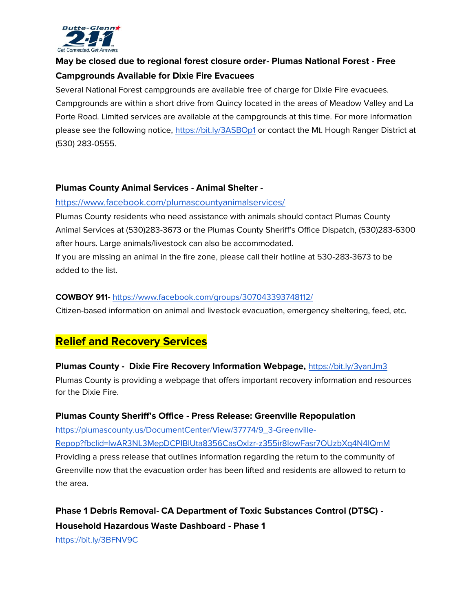

## **May be closed due to regional forest closure order- Plumas National Forest - Free Campgrounds Available for Dixie Fire Evacuees**

Several National Forest campgrounds are available free of charge for Dixie Fire evacuees. Campgrounds are within a short drive from Quincy located in the areas of Meadow Valley and La Porte Road. Limited services are available at the campgrounds at this time. For more information please see the following notice,<https://bit.ly/3ASBOp1> or contact the Mt. Hough Ranger District at (530) 283-0555.

#### **Plumas County Animal Services - Animal Shelter -**

#### <https://www.facebook.com/plumascountyanimalservices/>

Plumas County residents who need assistance with animals should contact Plumas County Animal Services at (530)283-3673 or the Plumas County Sheriff's Office Dispatch, (530)283-6300 after hours. Large animals/livestock can also be accommodated.

If you are missing an animal in the fire zone, please call their hotline at 530-283-3673 to be added to the list.

#### **COWBOY 911-** <https://www.facebook.com/groups/307043393748112/>

Citizen-based information on animal and livestock evacuation, emergency sheltering, feed, etc.

## **Relief and Recovery Services**

## **Plumas County - Dixie Fire Recovery Information Webpage,** <https://bit.ly/3yanJm3>

Plumas County is providing a webpage that offers important recovery information and resources for the Dixie Fire.

## **Plumas County Sheriff's Office - Press Release: Greenville Repopulation**

[https://plumascounty.us/DocumentCenter/View/37774/9\\_3-Greenville-](https://plumascounty.us/DocumentCenter/View/37774/9_3-Greenville-Repop?fbclid=IwAR3NL3MepDCPIBlUta8356CasOxIzr-z355ir8IowFasr7OUzbXq4N4IQmM)[Repop?fbclid=IwAR3NL3MepDCPIBlUta8356CasOxIzr-z355ir8IowFasr7OUzbXq4N4IQmM](https://plumascounty.us/DocumentCenter/View/37774/9_3-Greenville-Repop?fbclid=IwAR3NL3MepDCPIBlUta8356CasOxIzr-z355ir8IowFasr7OUzbXq4N4IQmM) Providing a press release that outlines information regarding the return to the community of Greenville now that the evacuation order has been lifted and residents are allowed to return to the area.

## **Phase 1 Debris Removal- CA Department of Toxic Substances Control (DTSC) - Household Hazardous Waste Dashboard - Phase 1**

<https://bit.ly/3BFNV9C>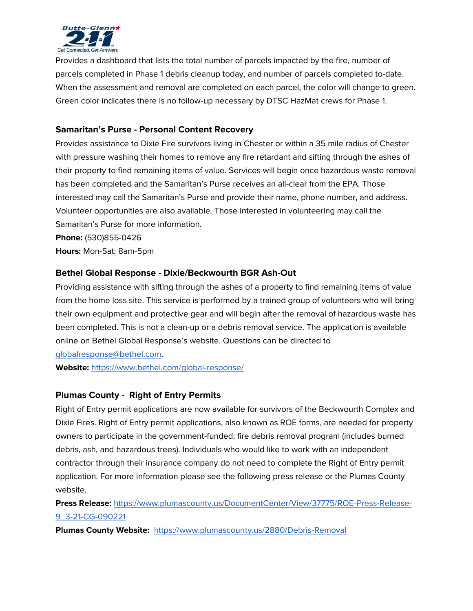

Provides a dashboard that lists the total number of parcels impacted by the fire, number of parcels completed in Phase 1 debris cleanup today, and number of parcels completed to-date. When the assessment and removal are completed on each parcel, the color will change to green. Green color indicates there is no follow-up necessary by DTSC HazMat crews for Phase 1.

## **Samaritan's Purse - Personal Content Recovery**

Provides assistance to Dixie Fire survivors living in Chester or within a 35 mile radius of Chester with pressure washing their homes to remove any fire retardant and sifting through the ashes of their property to find remaining items of value. Services will begin once hazardous waste removal has been completed and the Samaritan's Purse receives an all-clear from the EPA. Those interested may call the Samaritan's Purse and provide their name, phone number, and address. Volunteer opportunities are also available. Those interested in volunteering may call the Samaritan's Purse for more information.

**Phone:** (530)855-0426

**Hours:** Mon-Sat: 8am-5pm

## **Bethel Global Response - Dixie/Beckwourth BGR Ash-Out**

Providing assistance with sifting through the ashes of a property to find remaining items of value from the home loss site. This service is performed by a trained group of volunteers who will bring their own equipment and protective gear and will begin after the removal of hazardous waste has been completed. This is not a clean-up or a debris removal service. The application is available online on Bethel Global Response's website. Questions can be directed to

[globalresponse@bethel.com.](mailto:globalresponse@bethel.com)

**Website:** <https://www.bethel.com/global-response/>

## **Plumas County - Right of Entry Permits**

Right of Entry permit applications are now available for survivors of the Beckwourth Complex and Dixie Fires. Right of Entry permit applications, also known as ROE forms, are needed for property owners to participate in the government-funded, fire debris removal program (includes burned debris, ash, and hazardous trees). Individuals who would like to work with an independent contractor through their insurance company do not need to complete the Right of Entry permit application. For more information please see the following press release or the Plumas County website.

**Press Release:** [https://www.plumascounty.us/DocumentCenter/View/37775/ROE-Press-Release-](https://www.plumascounty.us/DocumentCenter/View/37775/ROE-Press-Release-9_3-21-CG-090221)[9\\_3-21-CG-090221](https://www.plumascounty.us/DocumentCenter/View/37775/ROE-Press-Release-9_3-21-CG-090221)

**Plumas County Website:** <https://www.plumascounty.us/2880/Debris-Removal>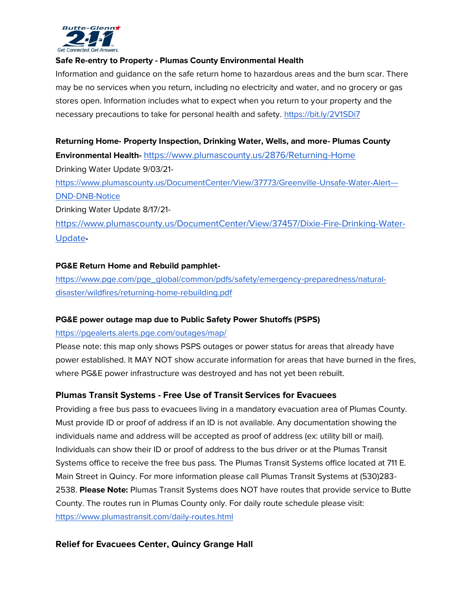

#### **Safe Re-entry to Property - Plumas County Environmental Health**

Information and guidance on the safe return home to hazardous areas and the burn scar. There may be no services when you return, including no electricity and water, and no grocery or gas stores open. Information includes what to expect when you return to your property and the necessary precautions to take for personal health and safety.<https://bit.ly/2V1SDi7>

**Returning Home- Property Inspection, Drinking Water, Wells, and more- Plumas County Environmental Health-** <https://www.plumascounty.us/2876/Returning-Home> Drinking Water Update 9/03/21 [https://www.plumascounty.us/DocumentCenter/View/37773/Greenville-Unsafe-Water-Alert---](https://www.plumascounty.us/DocumentCenter/View/37773/Greenville-Unsafe-Water-Alert---DND-DNB-Notice) [DND-DNB-Notice](https://www.plumascounty.us/DocumentCenter/View/37773/Greenville-Unsafe-Water-Alert---DND-DNB-Notice)  Drinking Water Update 8/17/21 [https://www.plumascounty.us/DocumentCenter/View/37457/Dixie-Fire-Drinking-Water-](https://www.plumascounty.us/DocumentCenter/View/37457/Dixie-Fire-Drinking-Water-Update)[Update](https://www.plumascounty.us/DocumentCenter/View/37457/Dixie-Fire-Drinking-Water-Update)**-**

#### **PG&E Return Home and Rebuild pamphlet-**

[https://www.pge.com/pge\\_global/common/pdfs/safety/emergency-preparedness/natural](https://www.pge.com/pge_global/common/pdfs/safety/emergency-preparedness/natural-disaster/wildfires/returning-home-rebuilding.pdf)[disaster/wildfires/returning-home-rebuilding.pdf](https://www.pge.com/pge_global/common/pdfs/safety/emergency-preparedness/natural-disaster/wildfires/returning-home-rebuilding.pdf)

#### **PG&E power outage map due to Public Safety Power Shutoffs (PSPS)**

#### <https://pgealerts.alerts.pge.com/outages/map/>

Please note: this map only shows PSPS outages or power status for areas that already have power established. It MAY NOT show accurate information for areas that have burned in the fires, where PG&E power infrastructure was destroyed and has not yet been rebuilt.

#### **Plumas Transit Systems - Free Use of Transit Services for Evacuees**

Providing a free bus pass to evacuees living in a mandatory evacuation area of Plumas County. Must provide ID or proof of address if an ID is not available. Any documentation showing the individuals name and address will be accepted as proof of address (ex: utility bill or mail). Individuals can show their ID or proof of address to the bus driver or at the Plumas Transit Systems office to receive the free bus pass. The Plumas Transit Systems office located at 711 E. Main Street in Quincy. For more information please call Plumas Transit Systems at (530)283- 2538. **Please Note:** Plumas Transit Systems does NOT have routes that provide service to Butte County. The routes run in Plumas County only. For daily route schedule please visit: <https://www.plumastransit.com/daily-routes.html>

#### **Relief for Evacuees Center, Quincy Grange Hall**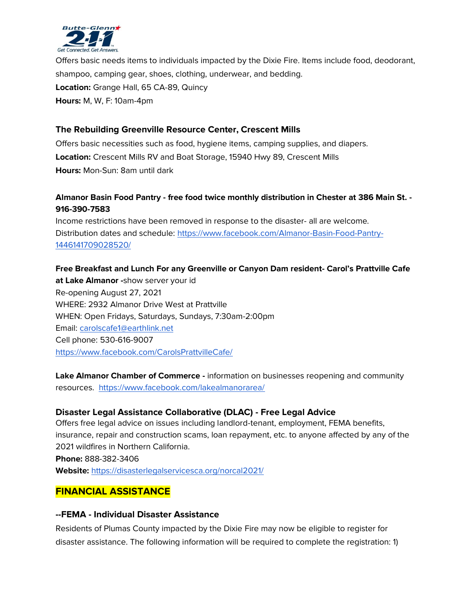

Offers basic needs items to individuals impacted by the Dixie Fire. Items include food, deodorant, shampoo, camping gear, shoes, clothing, underwear, and bedding. **Location:** Grange Hall, 65 CA-89, Quincy **Hours:** M, W, F: 10am-4pm

## **The Rebuilding Greenville Resource Center, Crescent Mills**

Offers basic necessities such as food, hygiene items, camping supplies, and diapers. **Location:** Crescent Mills RV and Boat Storage, 15940 Hwy 89, Crescent Mills **Hours:** Mon-Sun: 8am until dark

## **Almanor Basin Food Pantry - free food twice monthly distribution in Chester at 386 Main St. - 916-390-7583**

Income restrictions have been removed in response to the disaster- all are welcome. Distribution dates and schedule: [https://www.facebook.com/Almanor-Basin-Food-Pantry-](https://www.facebook.com/Almanor-Basin-Food-Pantry-1446141709028520/)[1446141709028520/](https://www.facebook.com/Almanor-Basin-Food-Pantry-1446141709028520/)

**Free Breakfast and Lunch For any Greenville or Canyon Dam resident- Carol's Prattville Cafe at Lake Almanor -**show server your id Re-opening August 27, 2021 WHERE: 2932 Almanor Drive West at Prattville WHEN: Open Fridays, Saturdays, Sundays, 7:30am-2:00pm Email: [carolscafe1@earthlink.net](mailto:carolscafe1@earthlink.net) Cell phone: 530-616-9007 <https://www.facebook.com/CarolsPrattvilleCafe/>

**Lake Almanor Chamber of Commerce -** information on businesses reopening and community resources. <https://www.facebook.com/lakealmanorarea/>

## **Disaster Legal Assistance Collaborative (DLAC) - Free Legal Advice**

Offers free legal advice on issues including landlord-tenant, employment, FEMA benefits, insurance, repair and construction scams, loan repayment, etc. to anyone affected by any of the 2021 wildfires in Northern California.

**Phone:** 888-382-3406

**Website:** <https://disasterlegalservicesca.org/norcal2021/>

## **FINANCIAL ASSISTANCE**

#### **--FEMA - Individual Disaster Assistance**

Residents of Plumas County impacted by the Dixie Fire may now be eligible to register for disaster assistance. The following information will be required to complete the registration: 1)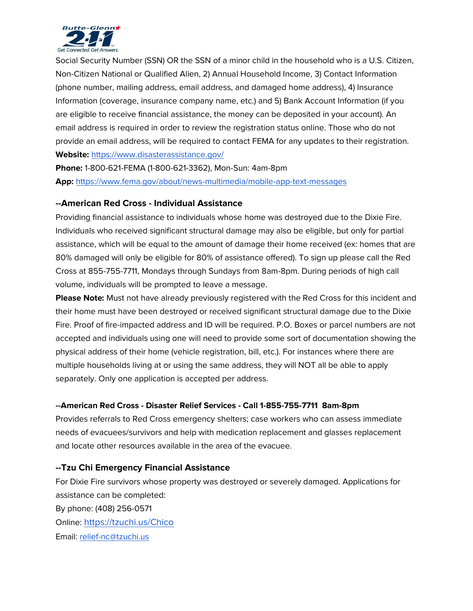

Social Security Number (SSN) OR the SSN of a minor child in the household who is a U.S. Citizen, Non-Citizen National or Qualified Alien, 2) Annual Household Income, 3) Contact Information (phone number, mailing address, email address, and damaged home address), 4) Insurance Information (coverage, insurance company name, etc.) and 5) Bank Account Information (if you are eligible to receive financial assistance, the money can be deposited in your account). An email address is required in order to review the registration status online. Those who do not provide an email address, will be required to contact FEMA for any updates to their registration. **Website:** <https://www.disasterassistance.gov/>

**Phone:** 1-800-621-FEMA (1-800-621-3362), Mon-Sun: 4am-8pm **App:** <https://www.fema.gov/about/news-multimedia/mobile-app-text-messages>

#### **--American Red Cross - Individual Assistance**

Providing financial assistance to individuals whose home was destroyed due to the Dixie Fire. Individuals who received significant structural damage may also be eligible, but only for partial assistance, which will be equal to the amount of damage their home received (ex: homes that are 80% damaged will only be eligible for 80% of assistance offered). To sign up please call the Red Cross at 855-755-7711, Mondays through Sundays from 8am-8pm. During periods of high call volume, individuals will be prompted to leave a message.

**Please Note:** Must not have already previously registered with the Red Cross for this incident and their home must have been destroyed or received significant structural damage due to the Dixie Fire. Proof of fire-impacted address and ID will be required. P.O. Boxes or parcel numbers are not accepted and individuals using one will need to provide some sort of documentation showing the physical address of their home (vehicle registration, bill, etc.). For instances where there are multiple households living at or using the same address, they will NOT all be able to apply separately. Only one application is accepted per address.

#### **--American Red Cross - Disaster Relief Services - Call 1-855-755-7711 8am-8pm**

Provides referrals to Red Cross emergency shelters; case workers who can assess immediate needs of evacuees/survivors and help with medication replacement and glasses replacement and locate other resources available in the area of the evacuee.

#### **--Tzu Chi Emergency Financial Assistance**

For Dixie Fire survivors whose property was destroyed or severely damaged. Applications for assistance can be completed: By phone: (408) 256-0571 Online: <https://tzuchi.us/Chico> Email: [relief-nc@tzuchi.us](mailto:relief-nc@tzuchi.us)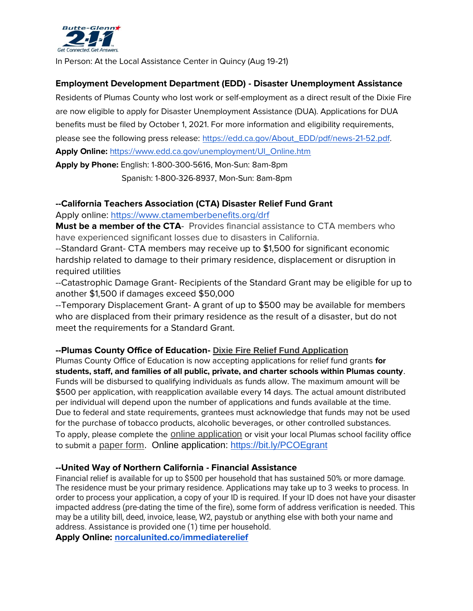

In Person: At the Local Assistance Center in Quincy (Aug 19-21)

## **Employment Development Department (EDD) - Disaster Unemployment Assistance**

Residents of Plumas County who lost work or self-employment as a direct result of the Dixie Fire are now eligible to apply for Disaster Unemployment Assistance (DUA). Applications for DUA benefits must be filed by October 1, 2021. For more information and eligibility requirements, please see the following press release: [https://edd.ca.gov/About\\_EDD/pdf/news-21-52.pdf.](https://edd.ca.gov/About_EDD/pdf/news-21-52.pdf)

**Apply Online:** [https://www.edd.ca.gov/unemployment/UI\\_Online.htm](https://www.edd.ca.gov/unemployment/UI_Online.htm)

**Apply by Phone:** English: 1-800-300-5616, Mon-Sun: 8am-8pm Spanish: 1-800-326-8937, Mon-Sun: 8am-8pm

## **--California Teachers Association (CTA) Disaster Relief Fund Grant**

Apply online:<https://www.ctamemberbenefits.org/drf>

**Must be a member of the CTA**- Provides financial assistance to CTA members who have experienced significant losses due to disasters in California.

--Standard Grant- CTA members may receive up to \$1,500 for significant economic hardship related to damage to their primary residence, displacement or disruption in required utilities

--Catastrophic Damage Grant- Recipients of the Standard Grant may be eligible for up to another \$1,500 if damages exceed \$50,000

--Temporary Displacement Grant- A grant of up to \$500 may be available for members who are displaced from their primary residence as the result of a disaster, but do not meet the requirements for a Standard Grant.

## **--Plumas County Office of Education- [Dixie Fire Relief Fund Application](https://docs.google.com/forms/d/e/1FAIpQLSeBFSSxavwuUkGkfso9v9tbXruCcChE1nlQPeAHEBU7_eNArw/viewform?vc=0&c=0&w=1&flr=0)**

Plumas County Office of Education is now accepting applications for relief fund grants **for students, staff, and families of all public, private, and charter schools within Plumas county**. Funds will be disbursed to qualifying individuals as funds allow. The maximum amount will be \$500 per application, with reapplication available every 14 days. The actual amount distributed per individual will depend upon the number of applications and funds available at the time. Due to federal and state requirements, grantees must acknowledge that funds may not be used for the purchase of tobacco products, alcoholic beverages, or other controlled substances. To apply, please complete the [online application](https://docs.google.com/forms/d/e/1FAIpQLSeBFSSxavwuUkGkfso9v9tbXruCcChE1nlQPeAHEBU7_eNArw/viewform?vc=0&c=0&w=1&flr=0) or visit your local Plumas school facility office to submit a [paper form.](https://drive.google.com/file/d/1pQ_Qt51VHRsWDIlWFKPqM0LftuyvOwPs/view?usp=sharing) Online application:<https://bit.ly/PCOEgrant>

## **--United Way of Northern California - Financial Assistance**

Financial relief is available for up to \$500 per household that has sustained 50% or more damage. The residence must be your primary residence. Applications may take up to 3 weeks to process. In order to process your application, a copy of your ID is required. If your ID does not have your disaster impacted address (pre-dating the time of the fire), some form of address verification is needed. This may be a utility bill, deed, invoice, lease, W2, paystub or anything else with both your name and address. Assistance is provided one (1) time per household.

**Apply Online: [norcalunited.co/immediaterelief](https://docs.google.com/forms/d/1lurDFZoyR7LvB9gDrc2GqP-xTNdMCo6wSQzefIQVQFI/viewform?vc=0&c=0&w=1&flr=0&edit_requested=true)**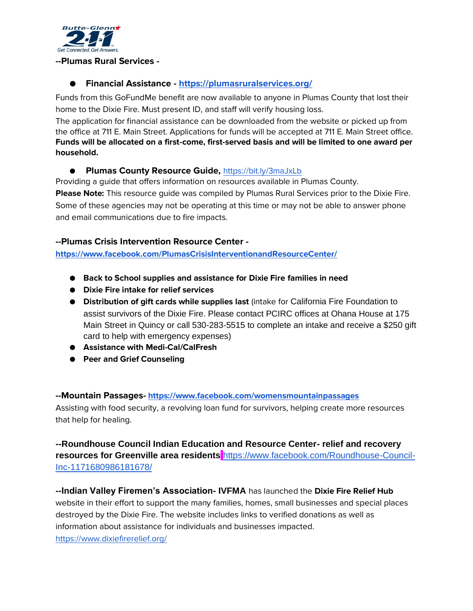

#### **--Plumas Rural Services -**

## ● **Financial Assistance - <https://plumasruralservices.org/>**

Funds from this GoFundMe benefit are now available to anyone in Plumas County that lost their home to the Dixie Fire. Must present ID, and staff will verify housing loss.

The application for financial assistance can be downloaded from the website or picked up from the office at 711 E. Main Street. Applications for funds will be accepted at 711 E. Main Street office. **Funds will be allocated on a first-come, first-served basis and will be limited to one award per household.**

#### ● **Plumas County Resource Guide,** <https://bit.ly/3maJxLb>

Providing a guide that offers information on resources available in Plumas County. **Please Note:** This resource guide was compiled by Plumas Rural Services prior to the Dixie Fire. Some of these agencies may not be operating at this time or may not be able to answer phone and email communications due to fire impacts.

#### **--Plumas Crisis Intervention Resource Center -**

**<https://www.facebook.com/PlumasCrisisInterventionandResourceCenter/>**

- **Back to School supplies and assistance for Dixie Fire families in need**
- **Dixie Fire intake for relief services**
- **Distribution of gift cards while supplies last** (intake for California Fire Foundation to assist survivors of the Dixie Fire. Please contact PCIRC offices at Ohana House at 175 Main Street in Quincy or call 530-283-5515 to complete an intake and receive a \$250 gift card to help with emergency expenses)
- **Assistance with Medi-Cal/CalFresh**
- **Peer and Grief Counseling**

#### **--Mountain Passages- <https://www.facebook.com/womensmountainpassages>**

Assisting with food security, a revolving loan fund for survivors, helping create more resources that help for healing.

## **--Roundhouse Council Indian Education and Resource Center- relief and recovery resources for Greenville area residents** [https://www.facebook.com/Roundhouse-Council-](https://www.facebook.com/Roundhouse-Council-Inc-1171680986181678/)[Inc-1171680986181678/](https://www.facebook.com/Roundhouse-Council-Inc-1171680986181678/)

**--Indian Valley Firemen's Association- IVFMA** has launched the **Dixie Fire Relief Hub** website in their effort to support the many families, homes, small businesses and special places destroyed by the Dixie Fire. The website includes links to verified donations as well as information about assistance for individuals and businesses impacted. <https://www.dixiefirerelief.org/>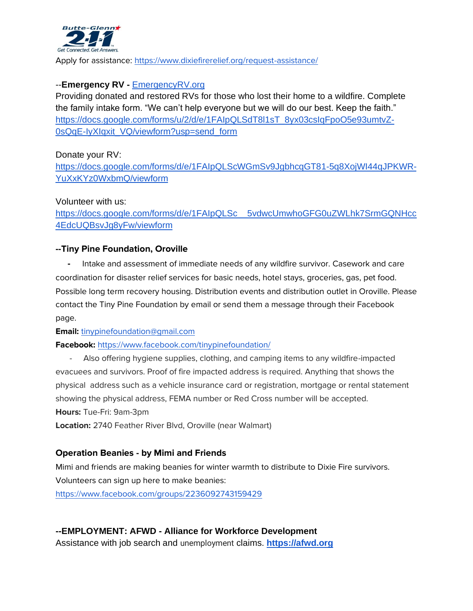

Apply for assistance:<https://www.dixiefirerelief.org/request-assistance/>

## --**Emergency RV -** [EmergencyRV.org](https://www.emergencyrv.org/)

Providing donated and restored RVs for those who lost their home to a wildfire. Complete the family intake form. "We can't help everyone but we will do our best. Keep the faith." [https://docs.google.com/forms/u/2/d/e/1FAIpQLSdT8l1sT\\_8yx03csIqFpoO5e93umtvZ-](https://docs.google.com/forms/u/2/d/e/1FAIpQLSdT8l1sT_8yx03csIqFpoO5e93umtvZ-0sQqE-IyXIqxit_VQ/viewform?usp=send_form)[0sQqE-IyXIqxit\\_VQ/viewform?usp=send\\_form](https://docs.google.com/forms/u/2/d/e/1FAIpQLSdT8l1sT_8yx03csIqFpoO5e93umtvZ-0sQqE-IyXIqxit_VQ/viewform?usp=send_form)

Donate your RV:

[https://docs.google.com/forms/d/e/1FAIpQLScWGmSv9JgbhcqGT81-5q8XojWI44qJPKWR-](https://docs.google.com/forms/d/e/1FAIpQLScWGmSv9JgbhcqGT81-5q8XojWI44qJPKWR-YuXxKYz0WxbmQ/viewform)[YuXxKYz0WxbmQ/viewform](https://docs.google.com/forms/d/e/1FAIpQLScWGmSv9JgbhcqGT81-5q8XojWI44qJPKWR-YuXxKYz0WxbmQ/viewform)

Volunteer with us:

[https://docs.google.com/forms/d/e/1FAIpQLSc\\_\\_5vdwcUmwhoGFG0uZWLhk7SrmGQNHcc](https://docs.google.com/forms/d/e/1FAIpQLSc__5vdwcUmwhoGFG0uZWLhk7SrmGQNHcc4EdcUQBsvJg8yFw/viewform) [4EdcUQBsvJg8yFw/viewform](https://docs.google.com/forms/d/e/1FAIpQLSc__5vdwcUmwhoGFG0uZWLhk7SrmGQNHcc4EdcUQBsvJg8yFw/viewform)

#### **--Tiny Pine Foundation, Oroville**

Intake and assessment of immediate needs of any wildfire survivor. Casework and care coordination for disaster relief services for basic needs, hotel stays, groceries, gas, pet food. Possible long term recovery housing. Distribution events and distribution outlet in Oroville. Please contact the Tiny Pine Foundation by email or send them a message through their Facebook page.

**Email:** [tinypinefoundation@gmail.com](mailto:tinypinefoundation@gmail.com)

**Facebook:** <https://www.facebook.com/tinypinefoundation/>

Also offering hygiene supplies, clothing, and camping items to any wildfire-impacted evacuees and survivors. Proof of fire impacted address is required. Anything that shows the physical address such as a vehicle insurance card or registration, mortgage or rental statement showing the physical address, FEMA number or Red Cross number will be accepted. **Hours:** Tue-Fri: 9am-3pm

**Location:** 2740 Feather River Blvd, Oroville (near Walmart)

#### **Operation Beanies - by Mimi and Friends**

Mimi and friends are making beanies for winter warmth to distribute to Dixie Fire survivors. Volunteers can sign up here to make beanies:

<https://www.facebook.com/groups/2236092743159429>

## **--EMPLOYMENT: AFWD - Alliance for Workforce Development**

Assistance with job search and unemployment claims. **[https://afwd.org](https://afwd.org/)**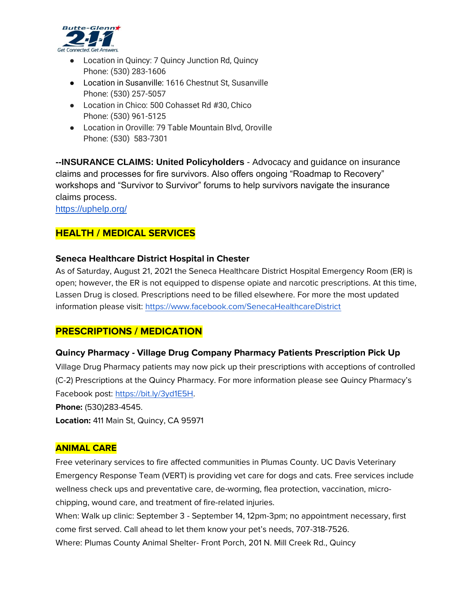

- Location in Quincy: 7 Quincy Junction Rd, Quincy [Phone:](https://www.google.com/search?rlz=1C1GCEA_enUS848US848&sxsrf=ALeKk00u0dUeiL7sx6n7GIC056VTZl9K0A:1629488804078&q=alliance+for+workforce+development+quincy+phone&ludocid=15243264800360480932&sa=X&ved=2ahUKEwix-NPqrsDyAhUUIDQIHe3zDNEQ6BMwE3oECC4QAg) [\(530\) 283-1606](https://www.google.com/search?q=afwd+plumas+county&rlz=1C1GCEA_enUS848US848&oq=afwd+plumas+county&aqs=chrome..69i57j33i299l2.3524j0j7&sourceid=chrome&ie=UTF-8)
- Location in Susanville: 1616 Chestnut St, Susanville Phone: (530) 257-5057
- Location in Chico: 500 Cohasset Rd #30, Chico Phone: (530) 961-5125
- Location in Oroville: 79 Table Mountain Blvd, Oroville Phone: (530) 583-7301

**--INSURANCE CLAIMS: United Policyholders** - Advocacy and guidance on insurance claims and processes for fire survivors. Also offers ongoing "Roadmap to Recovery" workshops and "Survivor to Survivor" forums to help survivors navigate the insurance claims process.

<https://uphelp.org/>

## **HEALTH / MEDICAL SERVICES**

#### **Seneca Healthcare District Hospital in Chester**

As of Saturday, August 21, 2021 the Seneca Healthcare District Hospital Emergency Room (ER) is open; however, the ER is not equipped to dispense opiate and narcotic prescriptions. At this time, Lassen Drug is closed. Prescriptions need to be filled elsewhere. For more the most updated information please visit:<https://www.facebook.com/SenecaHealthcareDistrict>

## **PRESCRIPTIONS / MEDICATION**

## **Quincy Pharmacy - Village Drug Company Pharmacy Patients Prescription Pick Up**

Village Drug Pharmacy patients may now pick up their prescriptions with acceptions of controlled (C-2) Prescriptions at the Quincy Pharmacy. For more information please see Quincy Pharmacy's Facebook post: [https://bit.ly/3yd1E5H.](https://bit.ly/3yd1E5H) **Phone:** (530)283-4545.

**Location:** 411 Main St, Quincy, CA 95971

## **ANIMAL CARE**

Free veterinary services to fire affected communities in Plumas County. UC Davis Veterinary Emergency Response Team (VERT) is providing vet care for dogs and cats. Free services include wellness check ups and preventative care, de-worming, flea protection, vaccination, microchipping, wound care, and treatment of fire-related injuries.

When: Walk up clinic: September 3 - September 14, 12pm-3pm; no appointment necessary, first come first served. Call ahead to let them know your pet's needs, 707-318-7526. Where: Plumas County Animal Shelter- Front Porch, 201 N. Mill Creek Rd., Quincy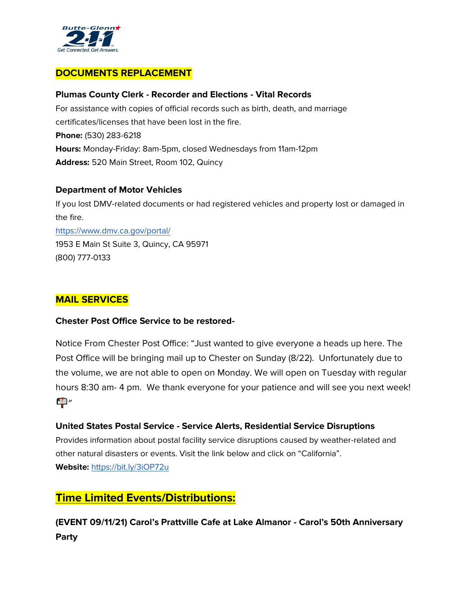

## **DOCUMENTS REPLACEMENT**

#### **Plumas County Clerk - Recorder and Elections - Vital Records**

For assistance with copies of official records such as birth, death, and marriage certificates/licenses that have been lost in the fire. **Phone:** (530) 283-6218 **Hours:** Monday-Friday: 8am-5pm, closed Wednesdays from 11am-12pm **Address:** 520 Main Street, Room 102, Quincy

#### **Department of Motor Vehicles**

If you lost DMV-related documents or had registered vehicles and property lost or damaged in the fire. <https://www.dmv.ca.gov/portal/> 1953 E Main St Suite 3, Quincy, CA 95971 (800) 777-0133

## **MAIL SERVICES**

#### **Chester Post Office Service to be restored-**

Notice From Chester Post Office: "Just wanted to give everyone a heads up here. The Post Office will be bringing mail up to Chester on Sunday (8/22). Unfortunately due to the volume, we are not able to open on Monday. We will open on Tuesday with regular hours 8:30 am- 4 pm. We thank everyone for your patience and will see you next week! <u>ED</u>"

## **United States Postal Service - Service Alerts, Residential Service Disruptions**

Provides information about postal facility service disruptions caused by weather-related and other natural disasters or events. Visit the link below and click on "California". **Website:** <https://bit.ly/3iOP72u>

## **Time Limited Events/Distributions:**

**(EVENT 09/11/21) Carol's Prattville Cafe at Lake Almanor - Carol's 50th Anniversary Party**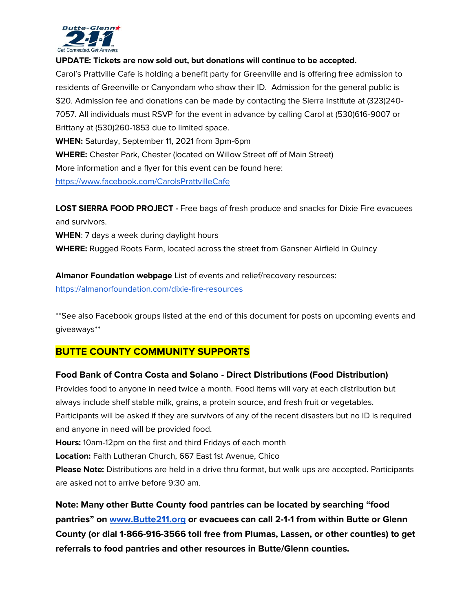

#### **UPDATE: Tickets are now sold out, but donations will continue to be accepted.**

Carol's Prattville Cafe is holding a benefit party for Greenville and is offering free admission to residents of Greenville or Canyondam who show their ID. Admission for the general public is \$20. Admission fee and donations can be made by contacting the Sierra Institute at (323)240- 7057. All individuals must RSVP for the event in advance by calling Carol at (530)616-9007 or Brittany at (530)260-1853 due to limited space. **WHEN:** Saturday, September 11, 2021 from 3pm-6pm **WHERE:** Chester Park, Chester (located on Willow Street off of Main Street)

More information and a flyer for this event can be found here:

<https://www.facebook.com/CarolsPrattvilleCafe>

**LOST SIERRA FOOD PROJECT -** Free bags of fresh produce and snacks for Dixie Fire evacuees and survivors.

**WHEN**: 7 days a week during daylight hours

**WHERE:** Rugged Roots Farm, located across the street from Gansner Airfield in Quincy

**Almanor Foundation webpage** List of events and relief/recovery resources: <https://almanorfoundation.com/dixie-fire-resources>

\*\*See also Facebook groups listed at the end of this document for posts on upcoming events and giveaways\*\*

## **BUTTE COUNTY COMMUNITY SUPPORTS**

## **Food Bank of Contra Costa and Solano - Direct Distributions (Food Distribution)**

Provides food to anyone in need twice a month. Food items will vary at each distribution but always include shelf stable milk, grains, a protein source, and fresh fruit or vegetables. Participants will be asked if they are survivors of any of the recent disasters but no ID is required and anyone in need will be provided food.

**Hours:** 10am-12pm on the first and third Fridays of each month

**Location:** Faith Lutheran Church, 667 East 1st Avenue, Chico

**Please Note:** Distributions are held in a drive thru format, but walk ups are accepted. Participants are asked not to arrive before 9:30 am.

**Note: Many other Butte County food pantries can be located by searching "food pantries" on [www.Butte211.org](http://www.butte211.org/) or evacuees can call 2-1-1 from within Butte or Glenn County (or dial 1-866-916-3566 toll free from Plumas, Lassen, or other counties) to get referrals to food pantries and other resources in Butte/Glenn counties.**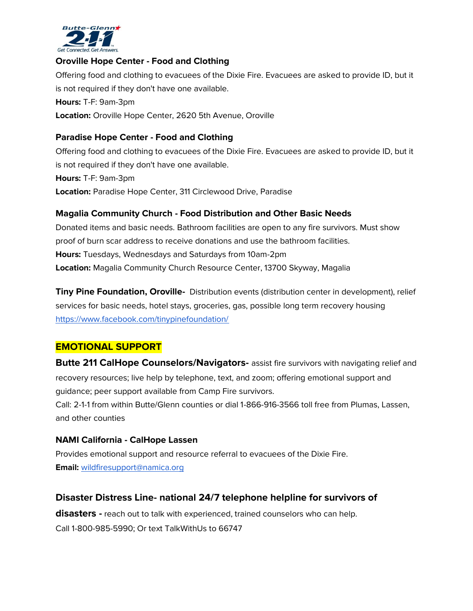

#### **Oroville Hope Center - Food and Clothing**

Offering food and clothing to evacuees of the Dixie Fire. Evacuees are asked to provide ID, but it is not required if they don't have one available. **Hours:** T-F: 9am-3pm **Location:** Oroville Hope Center, 2620 5th Avenue, Oroville

#### **Paradise Hope Center - Food and Clothing**

Offering food and clothing to evacuees of the Dixie Fire. Evacuees are asked to provide ID, but it is not required if they don't have one available. **Hours:** T-F: 9am-3pm **Location:** Paradise Hope Center, 311 Circlewood Drive, Paradise

#### **Magalia Community Church - Food Distribution and Other Basic Needs**

Donated items and basic needs. Bathroom facilities are open to any fire survivors. Must show proof of burn scar address to receive donations and use the bathroom facilities. **Hours:** Tuesdays, Wednesdays and Saturdays from 10am-2pm **Location:** Magalia Community Church Resource Center, 13700 Skyway, Magalia

**Tiny Pine Foundation, Oroville-** Distribution events (distribution center in development), relief services for basic needs, hotel stays, groceries, gas, possible long term recovery housing <https://www.facebook.com/tinypinefoundation/>

## **EMOTIONAL SUPPORT**

**Butte 211 CalHope Counselors/Navigators-** assist fire survivors with navigating relief and recovery resources; live help by telephone, text, and zoom; offering emotional support and guidance; peer support available from Camp Fire survivors.

Call: 2-1-1 from within Butte/Glenn counties or dial 1-866-916-3566 toll free from Plumas, Lassen, and other counties

#### **NAMI California - CalHope Lassen**

Provides emotional support and resource referral to evacuees of the Dixie Fire. **Email:** [wildfiresupport@namica.org](mailto:wildfiresupport@namica.org)

## **Disaster Distress Line- national 24/7 telephone helpline for survivors of**

**disasters -** reach out to talk with experienced, trained counselors who can help. Call 1-800-985-5990; Or text TalkWithUs to 66747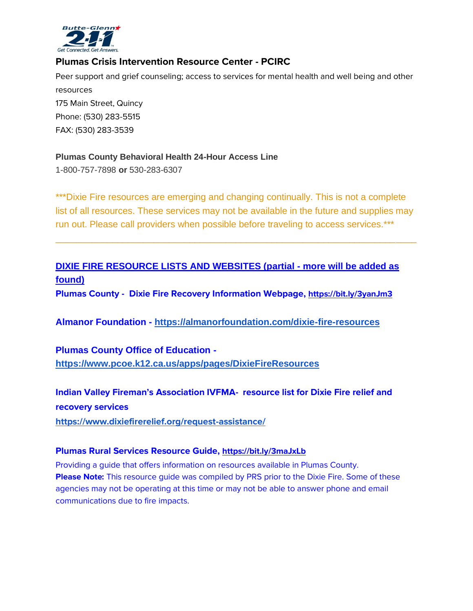

## **Plumas Crisis Intervention Resource Center - PCIRC**

Peer support and grief counseling; access to services for mental health and well being and other resources 175 Main Street, Quincy Phone: (530) 283-5515 FAX: (530) 283-3539

## **Plumas County Behavioral Health 24-Hour Access Line**

1-800-757-7898 **or** 530-283-6307

\*\*\*Dixie Fire resources are emerging and changing continually. This is not a complete list of all resources. These services may not be available in the future and supplies may run out. Please call providers when possible before traveling to access services.\*\*\*

\_\_\_\_\_\_\_\_\_\_\_\_\_\_\_\_\_\_\_\_\_\_\_\_\_\_\_\_\_\_\_\_\_\_\_\_\_\_\_\_\_\_\_\_\_\_\_\_\_\_\_\_\_\_\_\_\_\_\_\_\_\_\_\_\_\_\_\_\_\_

# **DIXIE FIRE RESOURCE LISTS AND WEBSITES (partial - more will be added as found)**

**Plumas County - Dixie Fire Recovery Information Webpage, <https://bit.ly/3yanJm3>**

**Almanor Foundation [-](https://almanorfoundation.com/dixie-fire-resources) <https://almanorfoundation.com/dixie-fire-resources>**

**Plumas County Office of Education  <https://www.pcoe.k12.ca.us/apps/pages/DixieFireResources>**

**Indian Valley Fireman's Association IVFMA- resource list for Dixie Fire relief and recovery services**

**<https://www.dixiefirerelief.org/request-assistance/>**

## **Plumas Rural Services Resource Guide, <https://bit.ly/3maJxLb>**

Providing a guide that offers information on resources available in Plumas County. **Please Note:** This resource guide was compiled by PRS prior to the Dixie Fire. Some of these agencies may not be operating at this time or may not be able to answer phone and email communications due to fire impacts.